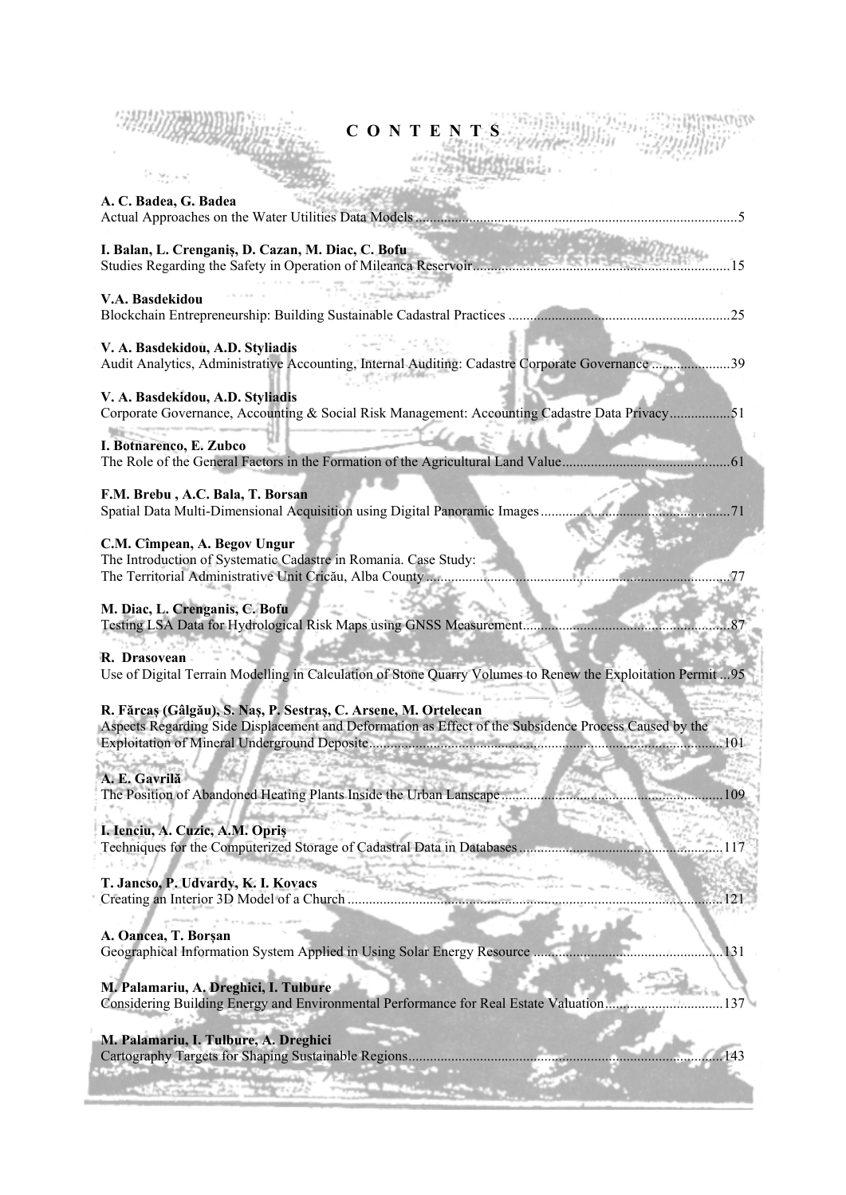| CONTENTS                                                                                                                                                                        |
|---------------------------------------------------------------------------------------------------------------------------------------------------------------------------------|
| A. C. Badea, G. Badea<br>Actual Approaches on the Water Utilities Data Models                                                                                                   |
| I. Balan, L. Crenganis, D. Cazan, M. Diac, C. Bofu<br>Studies Regarding the Safety in Operation of Mileanca Reservoir<br>. 15                                                   |
| V.A. Basdekidou<br>.25                                                                                                                                                          |
| V. A. Basdekidou, A.D. Styliadis<br>Audit Analytics, Administrative Accounting, Internal Auditing: Cadastre Corporate Governance 39                                             |
| V. A. Basdekidou, A.D. Styliadis<br>Corporate Governance, Accounting & Social Risk Management: Accounting Cadastre Data Privacy51                                               |
| I. Botnarenco, E. Zubco<br>.61                                                                                                                                                  |
| F.M. Brebu, A.C. Bala, T. Borsan<br>Spatial Data Multi-Dimensional Acquisition using Digital Panoramic Images<br>. 71                                                           |
| C.M. Cîmpean, A. Begov Ungur<br>The Introduction of Systematic Cadastre in Romania. Case Study:<br>The Territorial Administrative Unit Cricău, Alba County                      |
| M. Diac, L. Crenganis, C. Bofu<br>Testing LSA Data for Hydrological Risk Maps using GNSS Measurement<br>. 87                                                                    |
| R. Drasovean<br>Use of Digital Terrain Modelling in Calculation of Stone Quarry Volumes to Renew the Exploitation Permit  95                                                    |
| R. Fărcaș (Gâlgău), S. Naș, P. Sestraș, C. Arsene, M. Ortelecan<br>Aspects Regarding Side Displacement and Deformation as Effect of the Subsidence Process Caused by the<br>101 |
| A. E. Gavrilă<br>The Position of Abandoned Heating Plants Inside the Urban Lanscape<br>109                                                                                      |
| I. Ienciu, A. Cuzic, A.M. Opriș<br>Techniques for the Computerized Storage of Cadastral Data in Databases                                                                       |
| T. Jancso, P. Udvardy, K. I. Kovacs<br>Creating an Interior 3D Model of a Church<br>121                                                                                         |
| A. Oancea, T. Borșan<br>Geographical Information System Applied in Using Solar Energy Resource<br>131                                                                           |
| M. Palamariu, A. Dreghici, I. Tulbure<br>Considering Building Energy and Environmental Performance for Real Estate Valuation<br>37                                              |
| M. Palamariu, I. Tulbure, A. Dreghici                                                                                                                                           |

Cartography Targets for Shaping Sustainable Regions ........................................................................................ 143

ťХ

**CONTRACTOR**